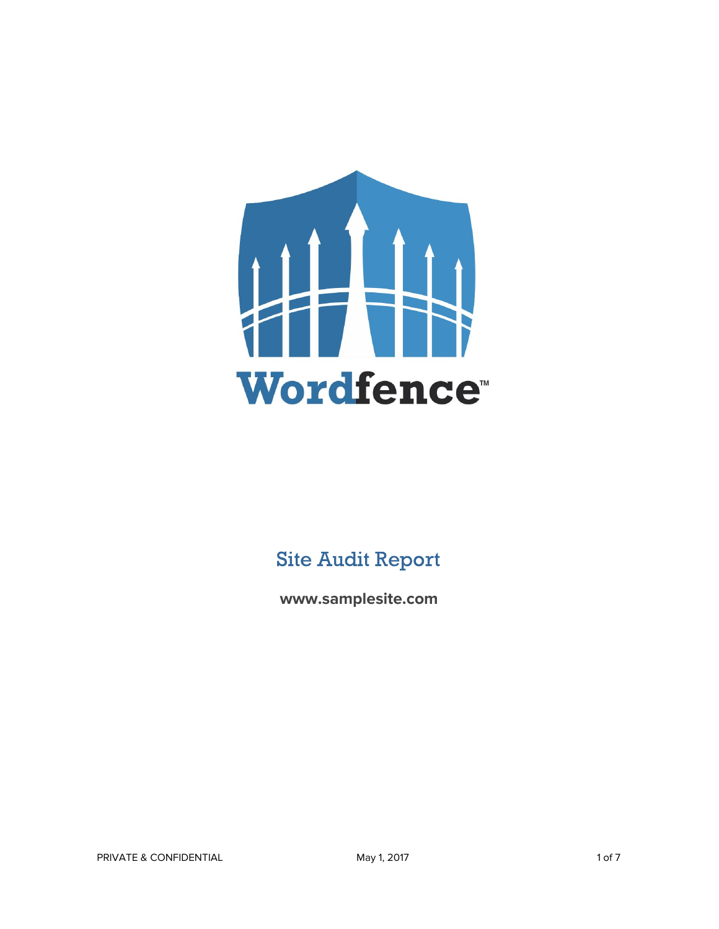

## Site Audit Report

**www.samplesite.com**

PRIVATE & CONFIDENTIAL **May 1, 2017** 1 of 7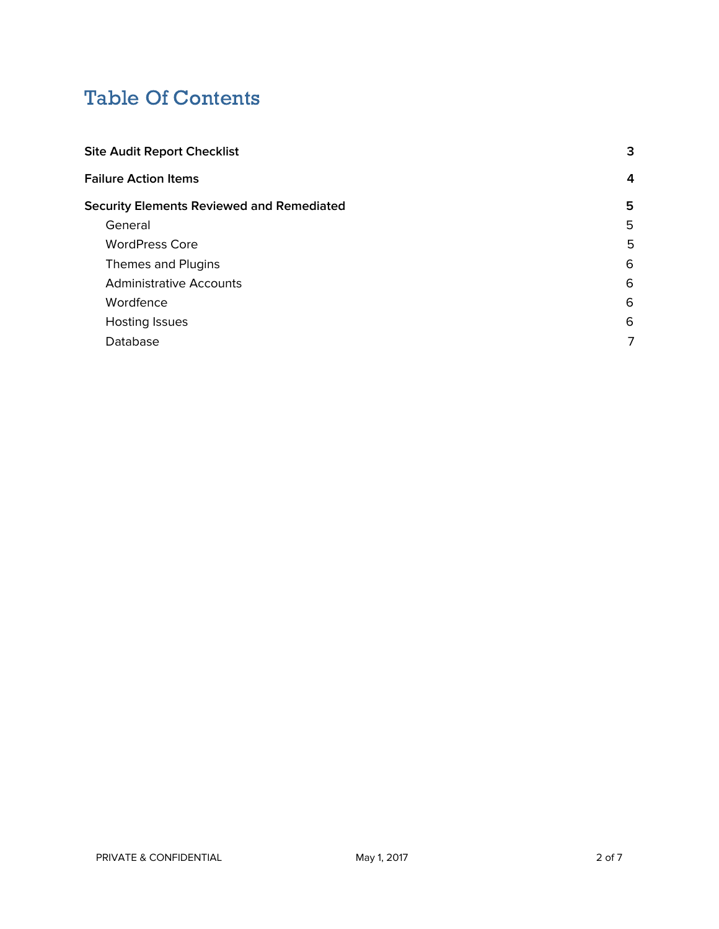# Table Of Contents

| 3 |
|---|
| 4 |
| 5 |
| 5 |
| 5 |
| 6 |
| 6 |
| 6 |
| 6 |
| 7 |
|   |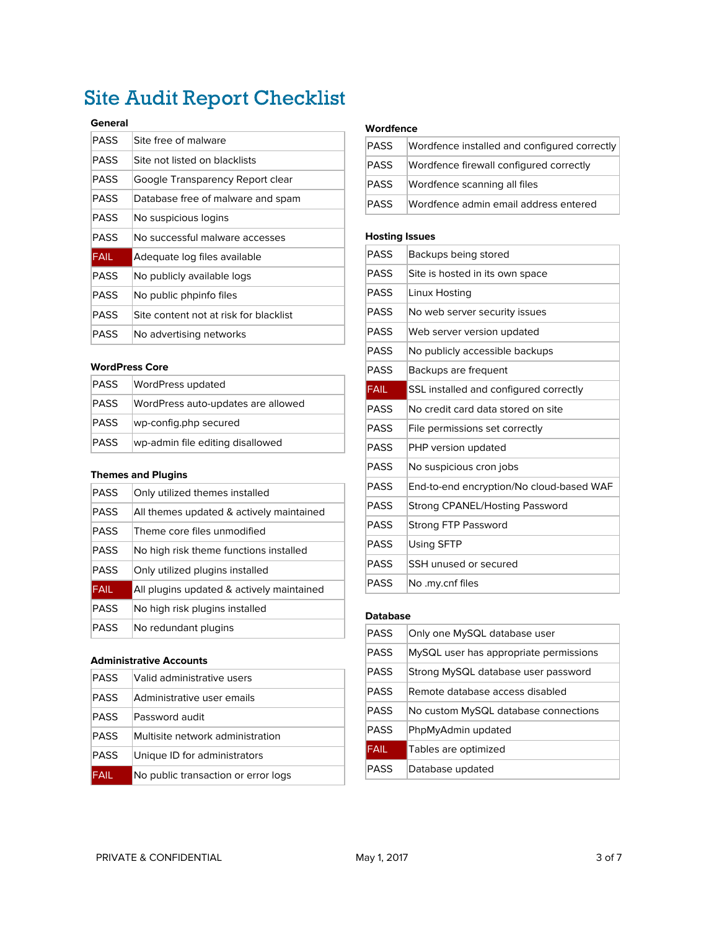# <span id="page-2-0"></span>Site Audit Report Checklist

#### **General**

| PASS        | Site free of malware                   |
|-------------|----------------------------------------|
| PASS        | Site not listed on blacklists          |
| PASS        | Google Transparency Report clear       |
| PASS        | Database free of malware and spam      |
| <b>PASS</b> | No suspicious logins                   |
| PASS        | No successful malware accesses         |
| FAIL        | Adequate log files available           |
| PASS        | No publicly available logs             |
| PASS        | No public phpinfo files                |
| PASS        | Site content not at risk for blacklist |
| PASS        | No advertising networks                |

#### **WordPress Core**

| PASS         | WordPress updated                  |
|--------------|------------------------------------|
| PASS         | WordPress auto-updates are allowed |
| <b>IPASS</b> | wp-config.php secured              |
| <b>PASS</b>  | wp-admin file editing disallowed   |

#### **Themes and Plugins**

| PASS        | Only utilized themes installed            |
|-------------|-------------------------------------------|
| <b>PASS</b> | All themes updated & actively maintained  |
| <b>PASS</b> | Theme core files unmodified               |
| <b>PASS</b> | No high risk theme functions installed    |
| <b>PASS</b> | Only utilized plugins installed           |
| <b>FAIL</b> | All plugins updated & actively maintained |
| <b>PASS</b> | No high risk plugins installed            |
| <b>PASS</b> | No redundant plugins                      |

#### **Administrative Accounts**

| <b>PASS</b> | Valid administrative users          |
|-------------|-------------------------------------|
| <b>PASS</b> | Administrative user emails          |
| <b>PASS</b> | Password audit                      |
| <b>PASS</b> | Multisite network administration    |
| <b>PASS</b> | Unique ID for administrators        |
| FAIL        | No public transaction or error logs |

#### **Wordfence**

| PASS | Wordfence installed and configured correctly |
|------|----------------------------------------------|
| PASS | Wordfence firewall configured correctly      |
| PASS | Wordfence scanning all files                 |
| PASS | Wordfence admin email address entered        |

#### **Hosting Issues**

| PASS        | Backups being stored                     |
|-------------|------------------------------------------|
| PASS        | Site is hosted in its own space          |
| <b>PASS</b> | Linux Hosting                            |
| <b>PASS</b> | No web server security issues            |
| <b>PASS</b> | Web server version updated               |
| <b>PASS</b> | No publicly accessible backups           |
| <b>PASS</b> | Backups are frequent                     |
| <b>FAIL</b> | SSL installed and configured correctly   |
| <b>PASS</b> | No credit card data stored on site       |
| <b>PASS</b> | File permissions set correctly           |
| PASS        | PHP version updated                      |
| <b>PASS</b> | No suspicious cron jobs                  |
| <b>PASS</b> | End-to-end encryption/No cloud-based WAF |
| <b>PASS</b> | Strong CPANEL/Hosting Password           |
| <b>PASS</b> | Strong FTP Password                      |
| <b>PASS</b> | Using SFTP                               |
| PASS        | SSH unused or secured                    |
| PASS        | No .my.cnf files                         |

#### **Database**

| <b>PASS</b> | Only one MySQL database user           |
|-------------|----------------------------------------|
| <b>PASS</b> | MySQL user has appropriate permissions |
| <b>PASS</b> | Strong MySQL database user password    |
| <b>PASS</b> | Remote database access disabled        |
| <b>PASS</b> | No custom MySQL database connections   |
| <b>PASS</b> | PhpMyAdmin updated                     |
| <b>FAIL</b> | Tables are optimized                   |
| <b>PASS</b> | Database updated                       |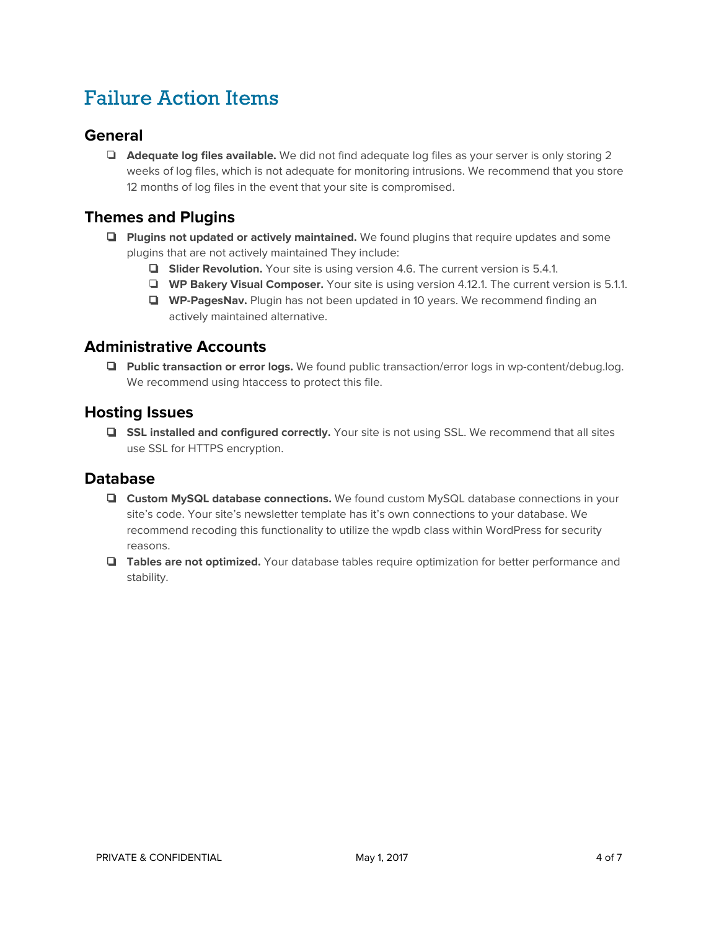# <span id="page-3-0"></span>Failure Action Items

## **General**

❏ **Adequate log files available.** We did not find adequate log files as your server is only storing 2 weeks of log files, which is not adequate for monitoring intrusions. We recommend that you store 12 months of log files in the event that your site is compromised.

## **Themes and Plugins**

- ❏ **Plugins not updated or actively maintained.** We found plugins that require updates and some plugins that are not actively maintained They include:
	- ❏ **Slider Revolution.** Your site is using version 4.6. The current version is 5.4.1.
	- ❏ **WP Bakery Visual Composer.** Your site is using version 4.12.1. The current version is 5.1.1.
	- ❏ **WP-PagesNav.** Plugin has not been updated in 10 years. We recommend finding an actively maintained alternative.

### **Administrative Accounts**

❏ **Public transaction or error logs.** We found public transaction/error logs in wp-content/debug.log. We recommend using htaccess to protect this file.

### **Hosting Issues**

❏ **SSL installed and configured correctly.** Your site is not using SSL. We recommend that all sites use SSL for HTTPS encryption.

### **Database**

- ❏ **Custom MySQL database connections.** We found custom MySQL database connections in your site's code. Your site's newsletter template has it's own connections to your database. We recommend recoding this functionality to utilize the wpdb class within WordPress for security reasons.
- ❏ **Tables are not optimized.** Your database tables require optimization for better performance and stability.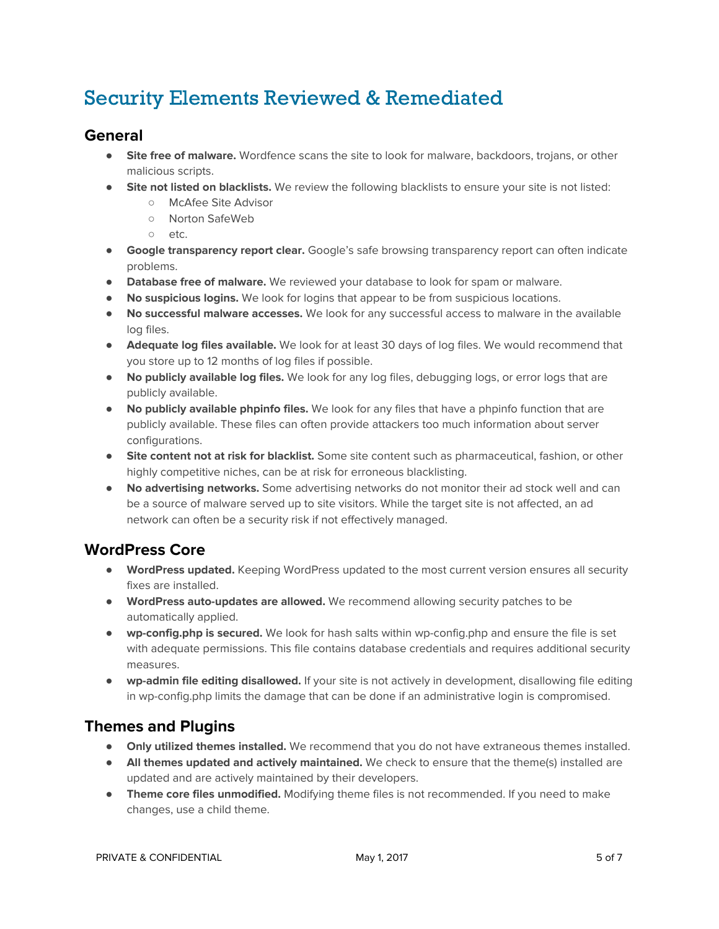# <span id="page-4-1"></span>Security Elements Reviewed & Remediated

## <span id="page-4-3"></span>**General**

- **Site free of malware.** Wordfence scans the site to look for malware, backdoors, trojans, or other malicious scripts.
- **Site not listed on blacklists.** We review the following blacklists to ensure your site is not listed:
	- **○** McAfee Site Advisor
	- **○** Norton SafeWeb
	- **○** etc.
- **Google transparency report clear.** Google's safe browsing transparency report can often indicate problems.
- **● Database free of malware.** We reviewed your database to look for spam or malware.
- **● No suspicious logins.** We look for logins that appear to be from suspicious locations.
- **● No successful malware accesses.** We look for any successful access to malware in the available log files.
- **● Adequate log files available.** We look for at least 30 days of log files. We would recommend that you store up to 12 months of log files if possible.
- **● No publicly available log files.** We look for any log files, debugging logs, or error logs that are publicly available.
- **● No publicly available phpinfo files.** We look for any files that have a phpinfo function that are publicly available. These files can often provide attackers too much information about server configurations.
- **● Site content not at risk for blacklist.** Some site content such as pharmaceutical, fashion, or other highly competitive niches, can be at risk for erroneous blacklisting.
- **● No advertising networks.** Some advertising networks do not monitor their ad stock well and can be a source of malware served up to site visitors. While the target site is not affected, an ad network can often be a security risk if not effectively managed.

## <span id="page-4-2"></span>**WordPress Core**

- **● WordPress updated.** Keeping WordPress updated to the most current version ensures all security fixes are installed.
- **● WordPress auto-updates are allowed.** We recommend allowing security patches to be automatically applied.
- **● wp-config.php is secured.** We look for hash salts within wp-config.php and ensure the file is set with adequate permissions. This file contains database credentials and requires additional security measures.
- **● wp-admin file editing disallowed.** If your site is not actively in development, disallowing file editing in wp-config.php limits the damage that can be done if an administrative login is compromised.

## <span id="page-4-0"></span>**Themes and Plugins**

- **● Only utilized themes installed.** We recommend that you do not have extraneous themes installed.
- **● All themes updated and actively maintained.** We check to ensure that the theme(s) installed are updated and are actively maintained by their developers.
- **● Theme core files unmodified.** Modifying theme files is not recommended. If you need to make changes, use a child theme.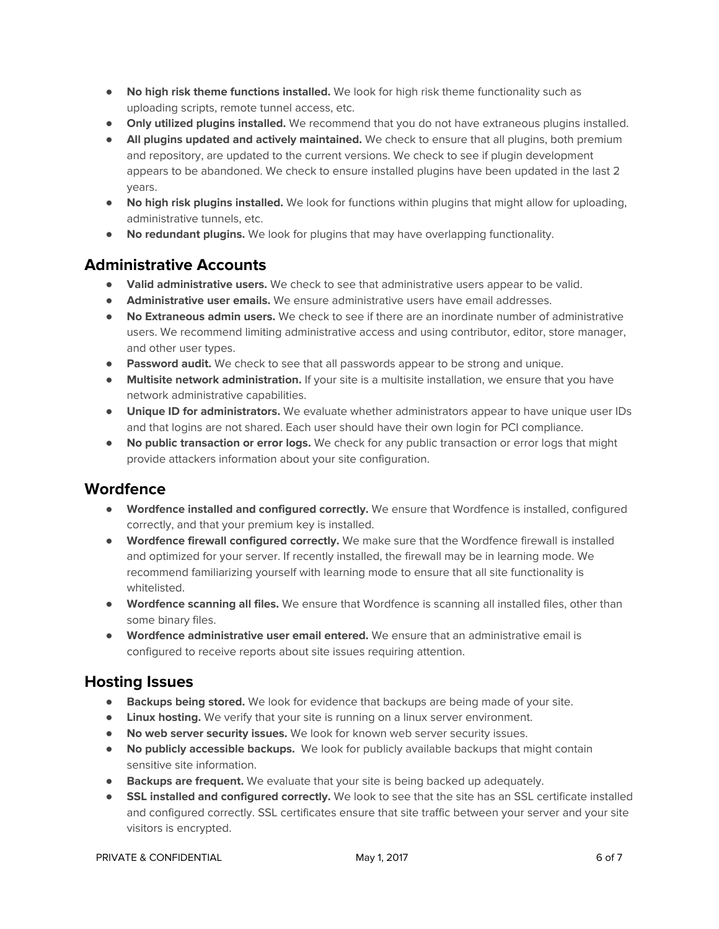- **● No high risk theme functions installed.** We look for high risk theme functionality such as uploading scripts, remote tunnel access, etc.
- **● Only utilized plugins installed.** We recommend that you do not have extraneous plugins installed.
- **● All plugins updated and actively maintained.** We check to ensure that all plugins, both premium and repository, are updated to the current versions. We check to see if plugin development appears to be abandoned. We check to ensure installed plugins have been updated in the last 2 years.
- **● No high risk plugins installed.** We look for functions within plugins that might allow for uploading, administrative tunnels, etc.
- **● No redundant plugins.** We look for plugins that may have overlapping functionality.

## <span id="page-5-1"></span>**Administrative Accounts**

- **● Valid administrative users.** We check to see that administrative users appear to be valid.
- **● Administrative user emails.** We ensure administrative users have email addresses.
- **● No Extraneous admin users.** We check to see if there are an inordinate number of administrative users. We recommend limiting administrative access and using contributor, editor, store manager, and other user types.
- **● Password audit.** We check to see that all passwords appear to be strong and unique.
- **● Multisite network administration.** If your site is a multisite installation, we ensure that you have network administrative capabilities.
- **● Unique ID for administrators.** We evaluate whether administrators appear to have unique user IDs and that logins are not shared. Each user should have their own login for PCI compliance.
- **● No public transaction or error logs.** We check for any public transaction or error logs that might provide attackers information about your site configuration.

## <span id="page-5-0"></span>**Wordfence**

- **● Wordfence installed and configured correctly.** We ensure that Wordfence is installed, configured correctly, and that your premium key is installed.
- **● Wordfence firewall configured correctly.** We make sure that the Wordfence firewall is installed and optimized for your server. If recently installed, the firewall may be in learning mode. We recommend familiarizing yourself with learning mode to ensure that all site functionality is whitelisted.
- **● Wordfence scanning all files.** We ensure that Wordfence is scanning all installed files, other than some binary files.
- **● Wordfence administrative user email entered.** We ensure that an administrative email is configured to receive reports about site issues requiring attention.

## <span id="page-5-2"></span>**Hosting Issues**

- **● Backups being stored.** We look for evidence that backups are being made of your site.
- **● Linux hosting.** We verify that your site is running on a linux server environment.
- **● No web server security issues.** We look for known web server security issues.
- **● No publicly accessible backups.** We look for publicly available backups that might contain sensitive site information.
- **● Backups are frequent.** We evaluate that your site is being backed up adequately.
- **● SSL installed and configured correctly.** We look to see that the site has an SSL certificate installed and configured correctly. SSL certificates ensure that site traffic between your server and your site visitors is encrypted.